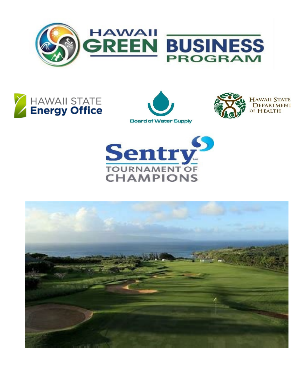







**HAWAII STATE DEPARTMENT** OF HEALTH



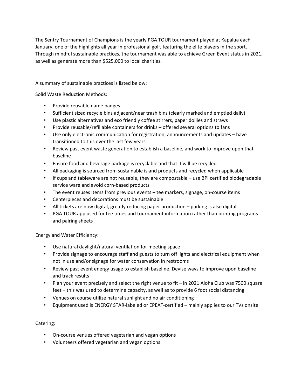The Sentry Tournament of Champions is the yearly PGA TOUR tournament played at Kapalua each January, one of the highlights all year in professional golf, featuring the elite players in the sport. Through mindful sustainable practices, the tournament was able to achieve Green Event status in 2021, as well as generate more than \$525,000 to local charities.

A summary of sustainable practices is listed below:

Solid Waste Reduction Methods:

- Provide reusable name badges
- Sufficient sized recycle bins adjacent/near trash bins (clearly marked and emptied daily)
- Use plastic alternatives and eco friendly coffee stirrers, paper doilies and straws
- Provide reusable/refillable containers for drinks offered several options to fans
- Use only electronic communication for registration, announcements and updates have transitioned to this over the last few years
- Review past event waste generation to establish a baseline, and work to improve upon that baseline
- Ensure food and beverage package is recyclable and that it will be recycled
- All packaging is sourced from sustainable island products and recycled when applicable
- If cups and tableware are not reusable, they are compostable use BPI certified biodegradable service ware and avoid corn-based products
- The event reuses items from previous events tee markers, signage, on-course items
- Centerpieces and decorations must be sustainable
- All tickets are now digital, greatly reducing paper production parking is also digital
- PGA TOUR app used for tee times and tournament information rather than printing programs and pairing sheets

Energy and Water Efficiency:

- Use natural daylight/natural ventilation for meeting space
- Provide signage to encourage staff and guests to turn off lights and electrical equipment when not in use and/or signage for water conservation in restrooms
- Review past event energy usage to establish baseline. Devise ways to improve upon baseline and track results
- Plan your event precisely and select the right venue to fit in 2021 Aloha Club was 7500 square feet – this was used to determine capacity, as well as to provide 6 foot social distancing
- Venues on course utilize natural sunlight and no air conditioning
- Equipment used is ENERGY STAR-labeled or EPEAT-certified mainly applies to our TVs onsite

Catering:

- On-course venues offered vegetarian and vegan options
- Volunteers offered vegetarian and vegan options